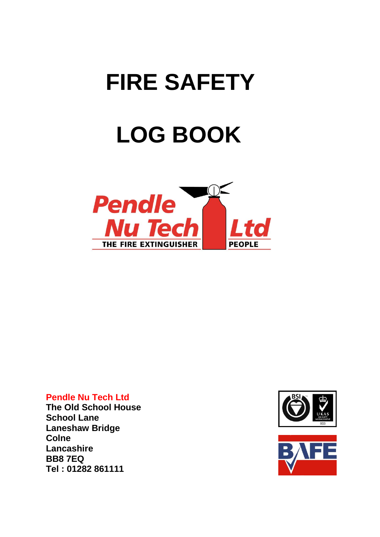# **FIRE SAFETY LOG BOOK**



#### **Pendle Nu Tech Ltd**

**The Old School House School Lane Laneshaw Bridge Colne Lancashire BB8 7EQ Tel : 01282 861111**



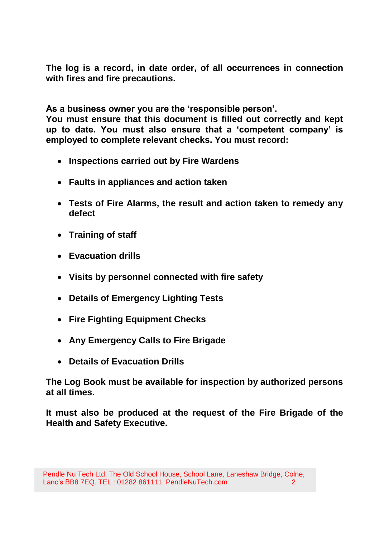**The log is a record, in date order, of all occurrences in connection with fires and fire precautions.**

**As a business owner you are the 'responsible person'.**

**You must ensure that this document is filled out correctly and kept up to date. You must also ensure that a 'competent company' is employed to complete relevant checks. You must record:**

- **Inspections carried out by Fire Wardens**
- **Faults in appliances and action taken**
- **Tests of Fire Alarms, the result and action taken to remedy any defect**
- **Training of staff**
- **Evacuation drills**
- **Visits by personnel connected with fire safety**
- **Details of Emergency Lighting Tests**
- **Fire Fighting Equipment Checks**
- **Any Emergency Calls to Fire Brigade**
- **Details of Evacuation Drills**

**The Log Book must be available for inspection by authorized persons at all times.**

**It must also be produced at the request of the Fire Brigade of the Health and Safety Executive.**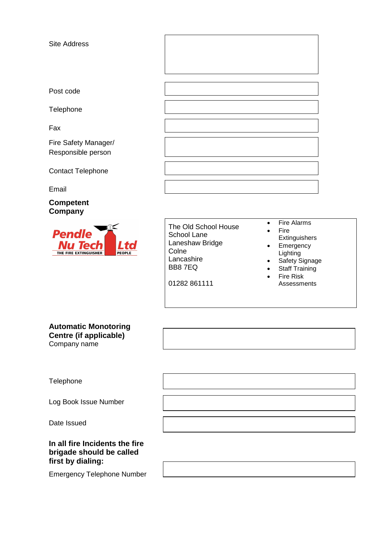Site Address

Post code

**Telephone** 

Fax

Fire Safety Manager/ Responsible person

Contact Telephone

Email

**Competent Company**



01282 861111

- Fire Alarms
- Fire
- **Extinguishers**
- Emergency Lighting
- Safety Signage
- Staff Training
- Fire Risk Assessments

#### **Automatic Monotoring Centre (if applicable)** Company name

Telephone

Log Book Issue Number

Date Issued

#### **In all fire Incidents the fire brigade should be called first by dialing:**

Emergency Telephone Number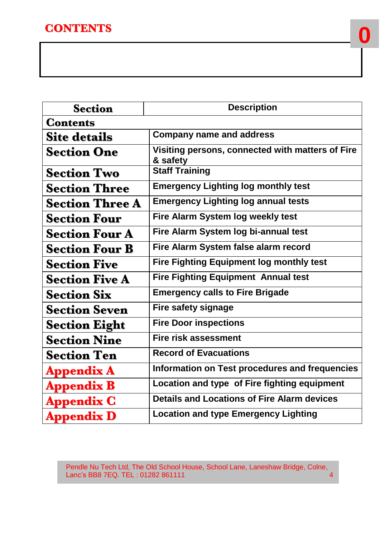## **CONTENTS**

| <b>Section</b>         | <b>Description</b>                                           |
|------------------------|--------------------------------------------------------------|
| <b>Contents</b>        |                                                              |
| <b>Site details</b>    | <b>Company name and address</b>                              |
| <b>Section One</b>     | Visiting persons, connected with matters of Fire<br>& safety |
| <b>Section Two</b>     | <b>Staff Training</b>                                        |
| <b>Section Three</b>   | <b>Emergency Lighting log monthly test</b>                   |
| <b>Section Three A</b> | <b>Emergency Lighting log annual tests</b>                   |
| <b>Section Four</b>    | Fire Alarm System log weekly test                            |
| <b>Section Four A</b>  | Fire Alarm System log bi-annual test                         |
| <b>Section Four B</b>  | Fire Alarm System false alarm record                         |
| <b>Section Five</b>    | <b>Fire Fighting Equipment log monthly test</b>              |
| <b>Section Five A</b>  | <b>Fire Fighting Equipment Annual test</b>                   |
| <b>Section Six</b>     | <b>Emergency calls to Fire Brigade</b>                       |
| <b>Section Seven</b>   | <b>Fire safety signage</b>                                   |
| <b>Section Eight</b>   | <b>Fire Door inspections</b>                                 |
| <b>Section Nine</b>    | <b>Fire risk assessment</b>                                  |
| <b>Section Ten</b>     | <b>Record of Evacuations</b>                                 |
| <b>Appendix A</b>      | Information on Test procedures and frequencies               |
| <b>Appendix B</b>      | Location and type of Fire fighting equipment                 |
| <b>Appendix C</b>      | <b>Details and Locations of Fire Alarm devices</b>           |
| <b>Appendix D</b>      | <b>Location and type Emergency Lighting</b>                  |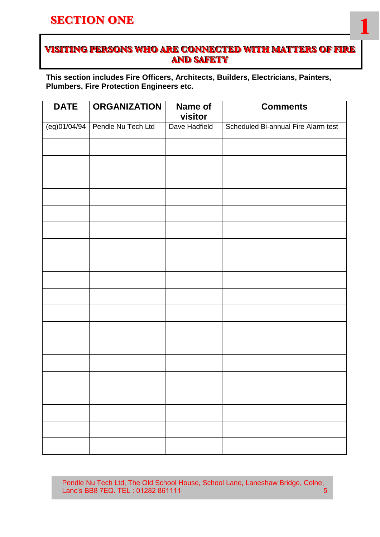#### **SECTION ONE**

#### **VISITING PERSONS WHO ARE CONNECTED WITH MATTERS OF FIRE AND SAFETY**

**1**

**This section includes Fire Officers, Architects, Builders, Electricians, Painters, Plumbers, Fire Protection Engineers etc.**

| <b>DATE</b>  | <b>ORGANIZATION</b> | Name of<br>visitor | <b>Comments</b>                     |
|--------------|---------------------|--------------------|-------------------------------------|
| (eg)01/04/94 | Pendle Nu Tech Ltd  | Dave Hadfield      | Scheduled Bi-annual Fire Alarm test |
|              |                     |                    |                                     |
|              |                     |                    |                                     |
|              |                     |                    |                                     |
|              |                     |                    |                                     |
|              |                     |                    |                                     |
|              |                     |                    |                                     |
|              |                     |                    |                                     |
|              |                     |                    |                                     |
|              |                     |                    |                                     |
|              |                     |                    |                                     |
|              |                     |                    |                                     |
|              |                     |                    |                                     |
|              |                     |                    |                                     |
|              |                     |                    |                                     |
|              |                     |                    |                                     |
|              |                     |                    |                                     |
|              |                     |                    |                                     |
|              |                     |                    |                                     |
|              |                     |                    |                                     |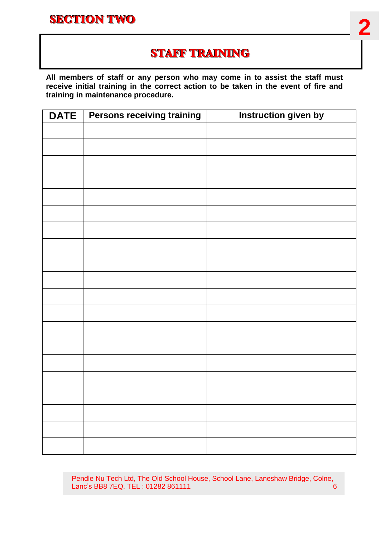

## **STAFF TRAINING**

**All members of staff or any person who may come in to assist the staff must receive initial training in the correct action to be taken in the event of fire and training in maintenance procedure.**

| <b>DATE</b> | <b>Persons receiving training</b> | <b>Instruction given by</b> |
|-------------|-----------------------------------|-----------------------------|
|             |                                   |                             |
|             |                                   |                             |
|             |                                   |                             |
|             |                                   |                             |
|             |                                   |                             |
|             |                                   |                             |
|             |                                   |                             |
|             |                                   |                             |
|             |                                   |                             |
|             |                                   |                             |
|             |                                   |                             |
|             |                                   |                             |
|             |                                   |                             |
|             |                                   |                             |
|             |                                   |                             |
|             |                                   |                             |
|             |                                   |                             |
|             |                                   |                             |
|             |                                   |                             |
|             |                                   |                             |
|             |                                   |                             |
|             |                                   |                             |
|             |                                   |                             |
|             |                                   |                             |
|             |                                   |                             |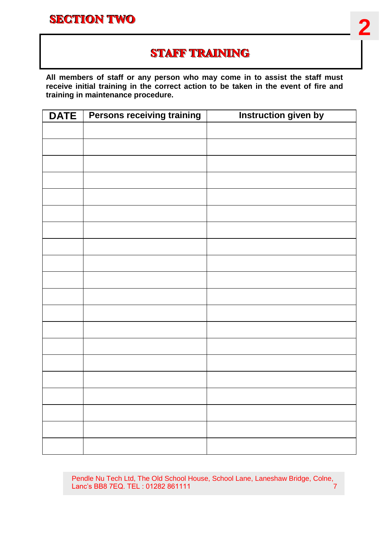

## **STAFF TRAINING**

**All members of staff or any person who may come in to assist the staff must receive initial training in the correct action to be taken in the event of fire and training in maintenance procedure.**

| <b>DATE</b> | <b>Persons receiving training</b> | <b>Instruction given by</b> |
|-------------|-----------------------------------|-----------------------------|
|             |                                   |                             |
|             |                                   |                             |
|             |                                   |                             |
|             |                                   |                             |
|             |                                   |                             |
|             |                                   |                             |
|             |                                   |                             |
|             |                                   |                             |
|             |                                   |                             |
|             |                                   |                             |
|             |                                   |                             |
|             |                                   |                             |
|             |                                   |                             |
|             |                                   |                             |
|             |                                   |                             |
|             |                                   |                             |
|             |                                   |                             |
|             |                                   |                             |
|             |                                   |                             |
|             |                                   |                             |
|             |                                   |                             |
|             |                                   |                             |
|             |                                   |                             |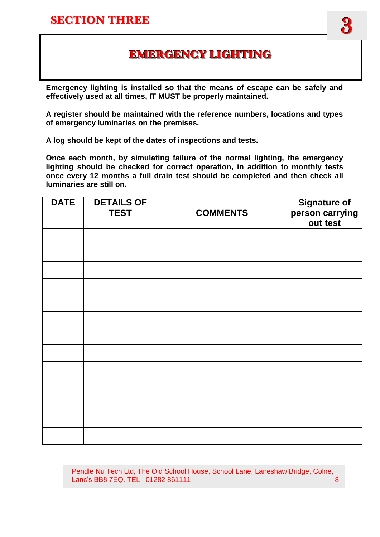## **EMERGENCY LIGHTING**

**Emergency lighting is installed so that the means of escape can be safely and effectively used at all times, IT MUST be properly maintained.**

**A register should be maintained with the reference numbers, locations and types of emergency luminaries on the premises.**

**A log should be kept of the dates of inspections and tests.**

**Once each month, by simulating failure of the normal lighting, the emergency lighting should be checked for correct operation, in addition to monthly tests once every 12 months a full drain test should be completed and then check all luminaries are still on.** 

| <b>DATE</b> | <b>DETAILS OF</b><br><b>TEST</b> | <b>COMMENTS</b> | <b>Signature of</b><br>person carrying<br>out test |
|-------------|----------------------------------|-----------------|----------------------------------------------------|
|             |                                  |                 |                                                    |
|             |                                  |                 |                                                    |
|             |                                  |                 |                                                    |
|             |                                  |                 |                                                    |
|             |                                  |                 |                                                    |
|             |                                  |                 |                                                    |
|             |                                  |                 |                                                    |
|             |                                  |                 |                                                    |
|             |                                  |                 |                                                    |
|             |                                  |                 |                                                    |
|             |                                  |                 |                                                    |
|             |                                  |                 |                                                    |
|             |                                  |                 |                                                    |

 Pendle Nu Tech Ltd, The Old School House, School Lane, Laneshaw Bridge, Colne, Lanc's BB8 7EQ. TEL : 01282 861111 8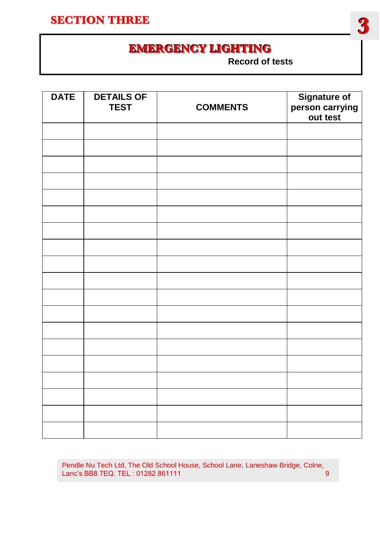## **SECTION THREE**



 **Record of tests**

| <b>DATE</b> | <b>DETAILS OF</b> |                 |                                             |
|-------------|-------------------|-----------------|---------------------------------------------|
|             | <b>TEST</b>       | <b>COMMENTS</b> |                                             |
|             |                   |                 | Signature of<br>person carrying<br>out test |
|             |                   |                 |                                             |
|             |                   |                 |                                             |
|             |                   |                 |                                             |
|             |                   |                 |                                             |
|             |                   |                 |                                             |
|             |                   |                 |                                             |
|             |                   |                 |                                             |
|             |                   |                 |                                             |
|             |                   |                 |                                             |
|             |                   |                 |                                             |
|             |                   |                 |                                             |
|             |                   |                 |                                             |
|             |                   |                 |                                             |
|             |                   |                 |                                             |
|             |                   |                 |                                             |
|             |                   |                 |                                             |
|             |                   |                 |                                             |
|             |                   |                 |                                             |
|             |                   |                 |                                             |
|             |                   |                 |                                             |
|             |                   |                 |                                             |
|             |                   |                 |                                             |
|             |                   |                 |                                             |
|             |                   |                 |                                             |

Pendle Nu Tech Ltd, The Old School House, School Lane, Laneshaw Bridge, Colne, Lanc's BB8 7EQ. TEL: 01282 861111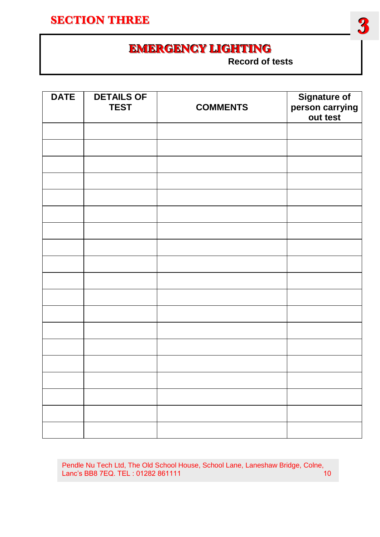## **SECTION THREE**



 **Record of tests**

| <b>DATE</b> | <b>DETAILS OF</b> |                 |                                             |
|-------------|-------------------|-----------------|---------------------------------------------|
|             | <b>TEST</b>       | <b>COMMENTS</b> |                                             |
|             |                   |                 | Signature of<br>person carrying<br>out test |
|             |                   |                 |                                             |
|             |                   |                 |                                             |
|             |                   |                 |                                             |
|             |                   |                 |                                             |
|             |                   |                 |                                             |
|             |                   |                 |                                             |
|             |                   |                 |                                             |
|             |                   |                 |                                             |
|             |                   |                 |                                             |
|             |                   |                 |                                             |
|             |                   |                 |                                             |
|             |                   |                 |                                             |
|             |                   |                 |                                             |
|             |                   |                 |                                             |
|             |                   |                 |                                             |
|             |                   |                 |                                             |
|             |                   |                 |                                             |
|             |                   |                 |                                             |
|             |                   |                 |                                             |
|             |                   |                 |                                             |
|             |                   |                 |                                             |
|             |                   |                 |                                             |
|             |                   |                 |                                             |

Pendle Nu Tech Ltd, The Old School House, School Lane, Laneshaw Bridge, Colne, Lanc's BB8 7EQ. TEL: 01282 861111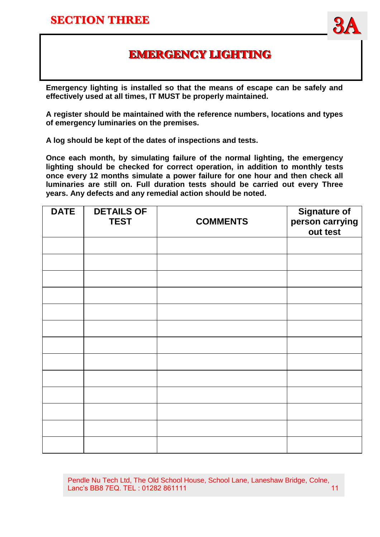A



## **EMERGENCY LIGHTING**

**Emergency lighting is installed so that the means of escape can be safely and effectively used at all times, IT MUST be properly maintained.**

**A register should be maintained with the reference numbers, locations and types of emergency luminaries on the premises.**

**A log should be kept of the dates of inspections and tests.**

**Once each month, by simulating failure of the normal lighting, the emergency lighting should be checked for correct operation, in addition to monthly tests once every 12 months simulate a power failure for one hour and then check all luminaries are still on. Full duration tests should be carried out every Three years. Any defects and any remedial action should be noted.**

| <b>DATE</b> | <b>DETAILS OF</b><br><b>TEST</b> | <b>COMMENTS</b> | <b>Signature of</b><br>person carrying<br>out test |
|-------------|----------------------------------|-----------------|----------------------------------------------------|
|             |                                  |                 |                                                    |
|             |                                  |                 |                                                    |
|             |                                  |                 |                                                    |
|             |                                  |                 |                                                    |
|             |                                  |                 |                                                    |
|             |                                  |                 |                                                    |
|             |                                  |                 |                                                    |
|             |                                  |                 |                                                    |
|             |                                  |                 |                                                    |
|             |                                  |                 |                                                    |
|             |                                  |                 |                                                    |
|             |                                  |                 |                                                    |
|             |                                  |                 |                                                    |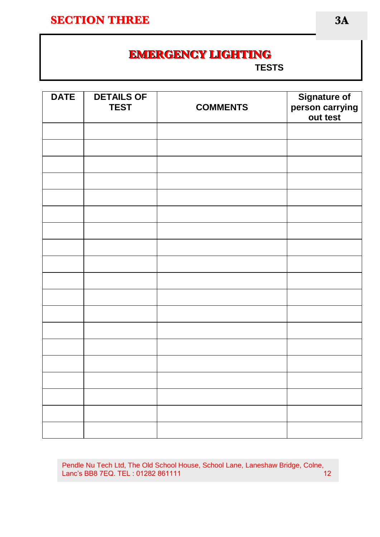#### **SECTION THREE**

**A**

## **EMERGENCY LIGHTING**

 **TESTS**

| <b>DATE</b> | <b>DETAILS OF</b><br><b>TEST</b> | <b>COMMENTS</b> | <b>Signature of</b><br>person carrying<br>out test |
|-------------|----------------------------------|-----------------|----------------------------------------------------|
|             |                                  |                 |                                                    |
|             |                                  |                 |                                                    |
|             |                                  |                 |                                                    |
|             |                                  |                 |                                                    |
|             |                                  |                 |                                                    |
|             |                                  |                 |                                                    |
|             |                                  |                 |                                                    |
|             |                                  |                 |                                                    |
|             |                                  |                 |                                                    |
|             |                                  |                 |                                                    |
|             |                                  |                 |                                                    |
|             |                                  |                 |                                                    |
|             |                                  |                 |                                                    |
|             |                                  |                 |                                                    |
|             |                                  |                 |                                                    |
|             |                                  |                 |                                                    |

Pendle Nu Tech Ltd, The Old School House, School Lane, Laneshaw Bridge, Colne, Lanc's BB8 7EQ. TEL : 01282 861111 12

**3A**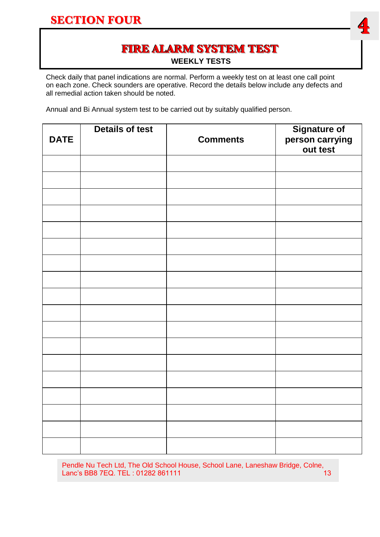#### **SECTION FOUR**



# **FIRE ALARM SYSTEM TEST**

**WEEKLY TESTS**

Check daily that panel indications are normal. Perform a weekly test on at least one call point on each zone. Check sounders are operative. Record the details below include any defects and all remedial action taken should be noted.

Annual and Bi Annual system test to be carried out by suitably qualified person.

| <b>DATE</b> | <b>Details of test</b> | <b>Comments</b> | Signature of<br>person carrying<br>out test |
|-------------|------------------------|-----------------|---------------------------------------------|
|             |                        |                 |                                             |
|             |                        |                 |                                             |
|             |                        |                 |                                             |
|             |                        |                 |                                             |
|             |                        |                 |                                             |
|             |                        |                 |                                             |
|             |                        |                 |                                             |
|             |                        |                 |                                             |
|             |                        |                 |                                             |
|             |                        |                 |                                             |
|             |                        |                 |                                             |
|             |                        |                 |                                             |
|             |                        |                 |                                             |
|             |                        |                 |                                             |
|             |                        |                 |                                             |
|             |                        |                 |                                             |
|             |                        |                 |                                             |
|             |                        |                 |                                             |

Pendle Nu Tech Ltd, The Old School House, School Lane, Laneshaw Bridge, Colne, Lanc's BB8 7EQ. TEL : 01282 861111 13 13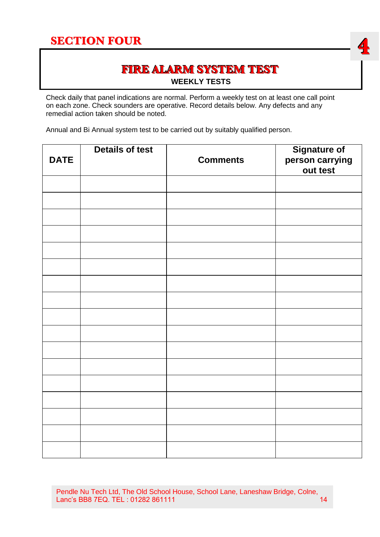## **SECTION FOUR**



#### **FIRE ALARM SYSTEM TEST WEEKLY TESTS**

Check daily that panel indications are normal. Perform a weekly test on at least one call point on each zone. Check sounders are operative. Record details below. Any defects and any remedial action taken should be noted.

Annual and Bi Annual system test to be carried out by suitably qualified person.

| <b>DATE</b> | <b>Details of test</b> | <b>Comments</b> | Signature of<br>person carrying<br>out test |
|-------------|------------------------|-----------------|---------------------------------------------|
|             |                        |                 |                                             |
|             |                        |                 |                                             |
|             |                        |                 |                                             |
|             |                        |                 |                                             |
|             |                        |                 |                                             |
|             |                        |                 |                                             |
|             |                        |                 |                                             |
|             |                        |                 |                                             |
|             |                        |                 |                                             |
|             |                        |                 |                                             |
|             |                        |                 |                                             |
|             |                        |                 |                                             |
|             |                        |                 |                                             |
|             |                        |                 |                                             |
|             |                        |                 |                                             |
|             |                        |                 |                                             |
|             |                        |                 |                                             |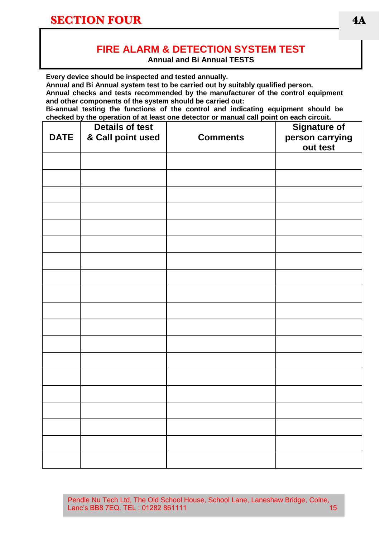#### **FIRE ALARM & DETECTION SYSTEM TEST**

**Annual and Bi Annual TESTS**

**Every device should be inspected and tested annually.**

**Annual and Bi Annual system test to be carried out by suitably qualified person.**

**Annual checks and tests recommended by the manufacturer of the control equipment and other components of the system should be carried out:**

**Bi-annual testing the functions of the control and indicating equipment should be checked by the operation of at least one detector or manual call point on each circuit.** 

| <b>DATE</b> | <b>Details of test</b><br>& Call point used | <b>Comments</b> | <b>Signature of</b><br>person carrying<br>out test |
|-------------|---------------------------------------------|-----------------|----------------------------------------------------|
|             |                                             |                 |                                                    |
|             |                                             |                 |                                                    |
|             |                                             |                 |                                                    |
|             |                                             |                 |                                                    |
|             |                                             |                 |                                                    |
|             |                                             |                 |                                                    |
|             |                                             |                 |                                                    |
|             |                                             |                 |                                                    |
|             |                                             |                 |                                                    |
|             |                                             |                 |                                                    |
|             |                                             |                 |                                                    |
|             |                                             |                 |                                                    |
|             |                                             |                 |                                                    |
|             |                                             |                 |                                                    |
|             |                                             |                 |                                                    |
|             |                                             |                 |                                                    |
|             |                                             |                 |                                                    |
|             |                                             |                 |                                                    |
|             |                                             |                 |                                                    |

Pendle Nu Tech Ltd, The Old School House, School Lane, Laneshaw Bridge, Colne,<br>Lanc's BB8 7EQ. TEL: 01282 861111 Lanc's BB8 7EQ. TEL: 01282 861111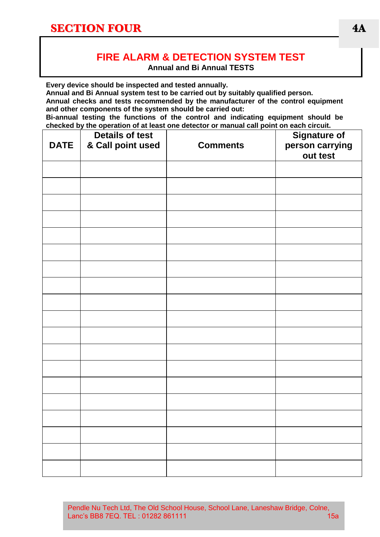## **FIRE ALARM & DETECTION SYSTEM TEST**

**Annual and Bi Annual TESTS**

**Every device should be inspected and tested annually.**

**Annual and Bi Annual system test to be carried out by suitably qualified person.**

**Annual checks and tests recommended by the manufacturer of the control equipment and other components of the system should be carried out:**

**Bi-annual testing the functions of the control and indicating equipment should be checked by the operation of at least one detector or manual call point on each circuit.** 

| <b>DATE</b> | <b>Details of test</b><br>& Call point used | <u>encence</u> by the operation of at least one acteder of mandal can point on each official<br><b>Comments</b> | <b>Signature of</b><br>person carrying<br>out test |
|-------------|---------------------------------------------|-----------------------------------------------------------------------------------------------------------------|----------------------------------------------------|
|             |                                             |                                                                                                                 |                                                    |
|             |                                             |                                                                                                                 |                                                    |
|             |                                             |                                                                                                                 |                                                    |
|             |                                             |                                                                                                                 |                                                    |
|             |                                             |                                                                                                                 |                                                    |
|             |                                             |                                                                                                                 |                                                    |
|             |                                             |                                                                                                                 |                                                    |
|             |                                             |                                                                                                                 |                                                    |
|             |                                             |                                                                                                                 |                                                    |
|             |                                             |                                                                                                                 |                                                    |
|             |                                             |                                                                                                                 |                                                    |
|             |                                             |                                                                                                                 |                                                    |
|             |                                             |                                                                                                                 |                                                    |
|             |                                             |                                                                                                                 |                                                    |
|             |                                             |                                                                                                                 |                                                    |
|             |                                             |                                                                                                                 |                                                    |
|             |                                             |                                                                                                                 |                                                    |
|             |                                             |                                                                                                                 |                                                    |

Pendle Nu Tech Ltd, The Old School House, School Lane, Laneshaw Bridge, Colne, Lanc's BB8 7EQ. TEL : 01282 861111 15a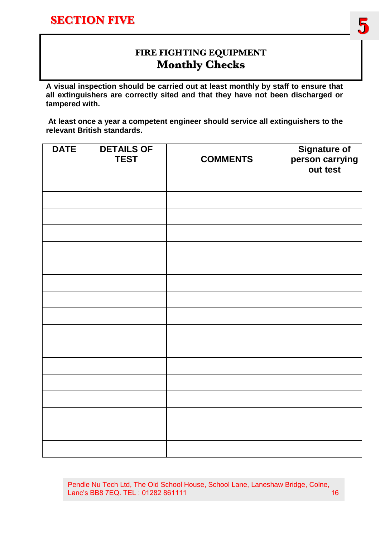

#### **FIRE FIGHTING EQUIPMENT Monthly Checks**

**A visual inspection should be carried out at least monthly by staff to ensure that all extinguishers are correctly sited and that they have not been discharged or tampered with.** 

**At least once a year a competent engineer should service all extinguishers to the relevant British standards.**

| <b>DATE</b> | <b>DETAILS OF</b><br><b>TEST</b> | <b>COMMENTS</b> | Signature of<br>person carrying<br>out test |
|-------------|----------------------------------|-----------------|---------------------------------------------|
|             |                                  |                 |                                             |
|             |                                  |                 |                                             |
|             |                                  |                 |                                             |
|             |                                  |                 |                                             |
|             |                                  |                 |                                             |
|             |                                  |                 |                                             |
|             |                                  |                 |                                             |
|             |                                  |                 |                                             |
|             |                                  |                 |                                             |
|             |                                  |                 |                                             |
|             |                                  |                 |                                             |
|             |                                  |                 |                                             |
|             |                                  |                 |                                             |
|             |                                  |                 |                                             |
|             |                                  |                 |                                             |
|             |                                  |                 |                                             |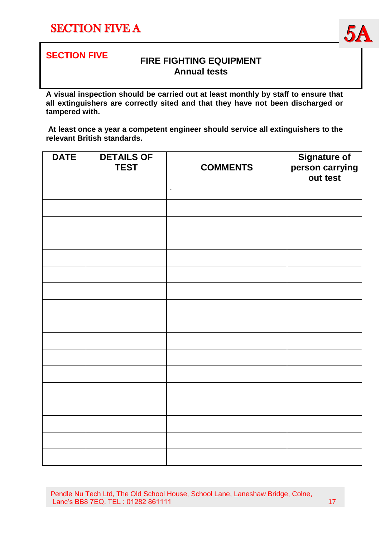



#### **FIRE FIGHTING EQUIPMENT Annual tests**

**A visual inspection should be carried out at least monthly by staff to ensure that all extinguishers are correctly sited and that they have not been discharged or tampered with.** 

**At least once a year a competent engineer should service all extinguishers to the relevant British standards.**

| <b>DATE</b> | <b>DETAILS OF</b><br><b>TEST</b> | <b>COMMENTS</b> | <b>Signature of</b><br>person carrying<br>out test |
|-------------|----------------------------------|-----------------|----------------------------------------------------|
|             |                                  | $\blacksquare$  |                                                    |
|             |                                  |                 |                                                    |
|             |                                  |                 |                                                    |
|             |                                  |                 |                                                    |
|             |                                  |                 |                                                    |
|             |                                  |                 |                                                    |
|             |                                  |                 |                                                    |
|             |                                  |                 |                                                    |
|             |                                  |                 |                                                    |
|             |                                  |                 |                                                    |
|             |                                  |                 |                                                    |
|             |                                  |                 |                                                    |
|             |                                  |                 |                                                    |
|             |                                  |                 |                                                    |
|             |                                  |                 |                                                    |
|             |                                  |                 |                                                    |
|             |                                  |                 |                                                    |

Pendle Nu Tech Ltd, The Old School House, School Lane, Laneshaw Bridge, Colne, Lanc's BB8 7EQ. TEL : 01282 861111 17 17 17 17 17 17 17 17 17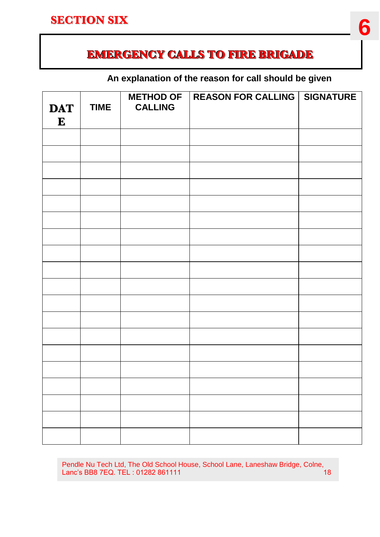## **EMERGENCY CALLS TO FIRE BRIGADE**

#### **An explanation of the reason for call should be given**

| <b>DAT</b> | <b>TIME</b> | <b>METHOD OF</b><br><b>CALLING</b> | <b>REASON FOR CALLING   SIGNATURE</b> |  |
|------------|-------------|------------------------------------|---------------------------------------|--|
| ${\bf E}$  |             |                                    |                                       |  |
|            |             |                                    |                                       |  |
|            |             |                                    |                                       |  |
|            |             |                                    |                                       |  |
|            |             |                                    |                                       |  |
|            |             |                                    |                                       |  |
|            |             |                                    |                                       |  |
|            |             |                                    |                                       |  |
|            |             |                                    |                                       |  |
|            |             |                                    |                                       |  |
|            |             |                                    |                                       |  |
|            |             |                                    |                                       |  |
|            |             |                                    |                                       |  |
|            |             |                                    |                                       |  |
|            |             |                                    |                                       |  |
|            |             |                                    |                                       |  |
|            |             |                                    |                                       |  |
|            |             |                                    |                                       |  |

Pendle Nu Tech Ltd, The Old School House, School Lane, Laneshaw Bridge, Colne,<br>Lanc's BB8 7EQ. TEL: 01282 861111 Lanc's BB8 7EQ. TEL : 01282 861111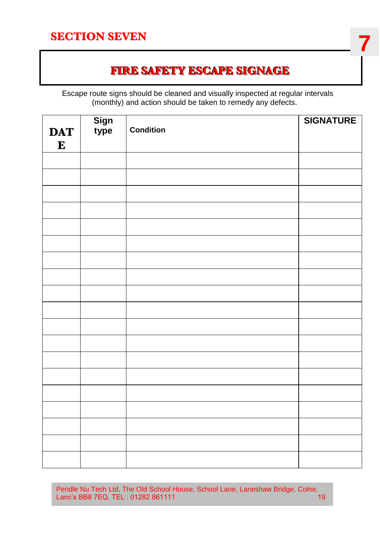#### **SECTION SEVEN**

## **FIRE SAFETY ESCAPE SIGNAGE**

**7**

 Escape route signs should be cleaned and visually inspected at regular intervals (monthly) and action should be taken to remedy any defects.

|                         | Sign<br>type | <b>Condition</b> | <b>SIGNATURE</b> |
|-------------------------|--------------|------------------|------------------|
| <b>DAT</b><br>${\bf E}$ |              |                  |                  |
|                         |              |                  |                  |
|                         |              |                  |                  |
|                         |              |                  |                  |
|                         |              |                  |                  |
|                         |              |                  |                  |
|                         |              |                  |                  |
|                         |              |                  |                  |
|                         |              |                  |                  |
|                         |              |                  |                  |
|                         |              |                  |                  |
|                         |              |                  |                  |
|                         |              |                  |                  |
|                         |              |                  |                  |
|                         |              |                  |                  |
|                         |              |                  |                  |
|                         |              |                  |                  |
|                         |              |                  |                  |
|                         |              |                  |                  |
|                         |              |                  |                  |

Pendle Nu Tech Ltd, The Old School House, School Lane, Laneshaw Bridge, Colne, Lanc's BB8 7EQ. TEL : 01282 861111 19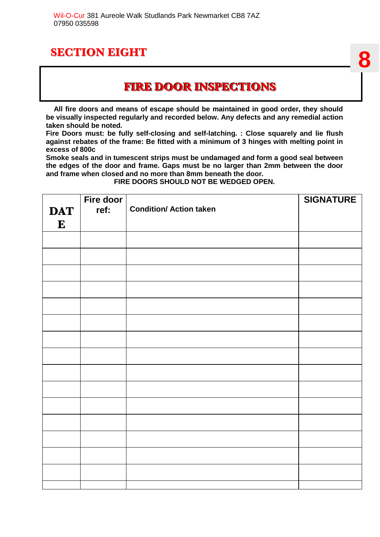#### **FIRE DOOR INSPECTIONS**

 **All fire doors and means of escape should be maintained in good order, they should be visually inspected regularly and recorded below. Any defects and any remedial action taken should be noted.** 

**Fire Doors must: be fully self-closing and self-latching. : Close squarely and lie flush against rebates of the frame: Be fitted with a minimum of 3 hinges with melting point in excess of 800c**

**Smoke seals and in tumescent strips must be undamaged and form a good seal between the edges of the door and frame. Gaps must be no larger than 2mm between the door and frame when closed and no more than 8mm beneath the door.** 

**FIRE DOORS SHOULD NOT BE WEDGED OPEN.** 

|            | Fire door |                                | <b>SIGNATURE</b> |
|------------|-----------|--------------------------------|------------------|
| <b>DAT</b> | ref:      | <b>Condition/ Action taken</b> |                  |
| ${\bf E}$  |           |                                |                  |
|            |           |                                |                  |
|            |           |                                |                  |
|            |           |                                |                  |
|            |           |                                |                  |
|            |           |                                |                  |
|            |           |                                |                  |
|            |           |                                |                  |
|            |           |                                |                  |
|            |           |                                |                  |
|            |           |                                |                  |
|            |           |                                |                  |
|            |           |                                |                  |
|            |           |                                |                  |
|            |           |                                |                  |
|            |           |                                |                  |
|            |           |                                |                  |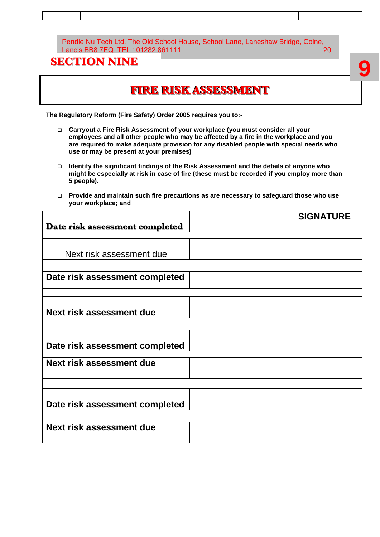#### Pendle Nu Tech Ltd, The Old School House, School Lane, Laneshaw Bridge, Colne, Lanc's BB8 7EQ. TEL : 01282 861111 20 20

#### **SECTION NINE**

## **FIRE RISK ASSESSMENT**

**The Regulatory Reform (Fire Safety) Order 2005 requires you to:-**

- **Carryout a Fire Risk Assessment of your workplace (you must consider all your employees and all other people who may be affected by a fire in the workplace and you are required to make adequate provision for any disabled people with special needs who use or may be present at your premises)**
- **Identify the significant findings of the Risk Assessment and the details of anyone who might be especially at risk in case of fire (these must be recorded if you employ more than 5 people).**
- **Provide and maintain such fire precautions as are necessary to safeguard those who use your workplace; and**

|                                | <b>SIGNATURE</b> |
|--------------------------------|------------------|
| Date risk assessment completed |                  |
|                                |                  |
|                                |                  |
| Next risk assessment due       |                  |
|                                |                  |
| Date risk assessment completed |                  |
|                                |                  |
|                                |                  |
|                                |                  |
| Next risk assessment due       |                  |
|                                |                  |
|                                |                  |
| Date risk assessment completed |                  |
|                                |                  |
| Next risk assessment due       |                  |
|                                |                  |
|                                |                  |
|                                |                  |
| Date risk assessment completed |                  |
|                                |                  |
| Next risk assessment due       |                  |
|                                |                  |
|                                |                  |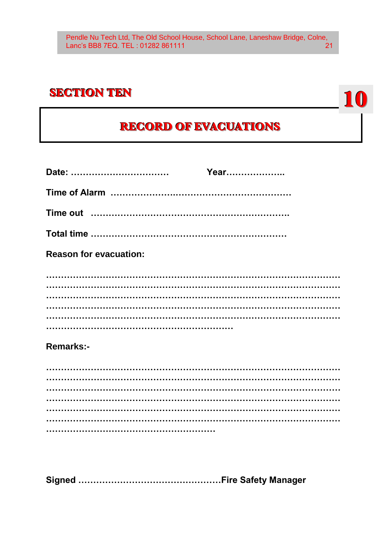#### **SECTION TEN**

## **RECORD OF EVACUATIONS**

10

| <b>Reason for evacuation:</b> |  |
|-------------------------------|--|
|                               |  |
|                               |  |
|                               |  |
|                               |  |
| <b>Remarks:-</b>              |  |
|                               |  |
|                               |  |
|                               |  |
|                               |  |
|                               |  |
|                               |  |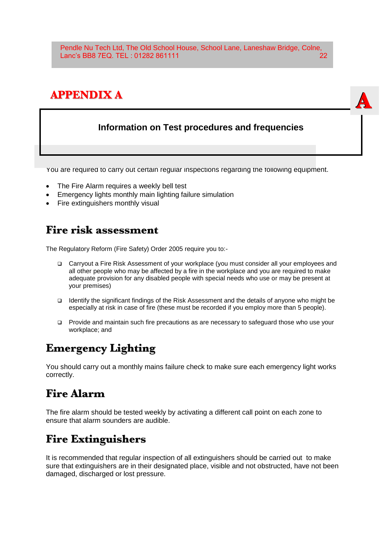Pendle Nu Tech Ltd, The Old School House, School Lane, Laneshaw Bridge, Colne, Lanc's BB8 7EQ. TEL : 01282 861111 22

## **APPENDIX A**

#### **Information on Test procedures and frequencies**

**A**

You are required to carry out certain regular inspections regarding the following equipment.

- The Fire Alarm requires a weekly bell test
- Emergency lights monthly main lighting failure simulation
- Fire extinguishers monthly visual

#### **Fire risk assessment**

The Regulatory Reform (Fire Safety) Order 2005 require you to:-

- Carryout a Fire Risk Assessment of your workplace (you must consider all your employees and all other people who may be affected by a fire in the workplace and you are required to make adequate provision for any disabled people with special needs who use or may be present at your premises)
- Identify the significant findings of the Risk Assessment and the details of anyone who might be especially at risk in case of fire (these must be recorded if you employ more than 5 people).
- Provide and maintain such fire precautions as are necessary to safeguard those who use your workplace; and

## **Emergency Lighting**

You should carry out a monthly mains failure check to make sure each emergency light works correctly.

#### **Fire Alarm**

The fire alarm should be tested weekly by activating a different call point on each zone to ensure that alarm sounders are audible.

#### **Fire Extinguishers**

It is recommended that regular inspection of all extinguishers should be carried out to make sure that extinguishers are in their designated place, visible and not obstructed, have not been damaged, discharged or lost pressure.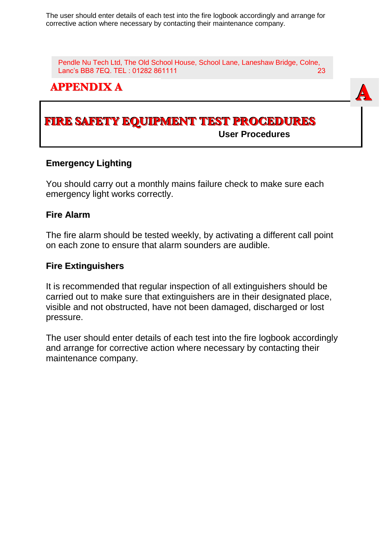The user should enter details of each test into the fire logbook accordingly and arrange for corrective action where necessary by contacting their maintenance company.

Pendle Nu Tech Ltd, The Old School House, School Lane, Laneshaw Bridge, Colne, Lanc's BB8 7EQ. TEL : 01282 861111 23

**A**

#### **APPENDIX A**

#### **FIRE SAFETY EQUIPMENT TEST PROCEDURES User Procedures**

#### **Emergency Lighting**

You should carry out a monthly mains failure check to make sure each emergency light works correctly.

#### **Fire Alarm**

The fire alarm should be tested weekly, by activating a different call point on each zone to ensure that alarm sounders are audible.

#### **Fire Extinguishers**

It is recommended that regular inspection of all extinguishers should be carried out to make sure that extinguishers are in their designated place, visible and not obstructed, have not been damaged, discharged or lost pressure.

The user should enter details of each test into the fire logbook accordingly and arrange for corrective action where necessary by contacting their maintenance company.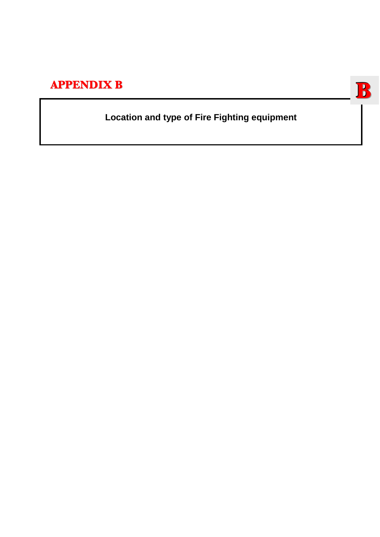## **APPENDIX B**

## **Location and type of Fire Fighting equipment**

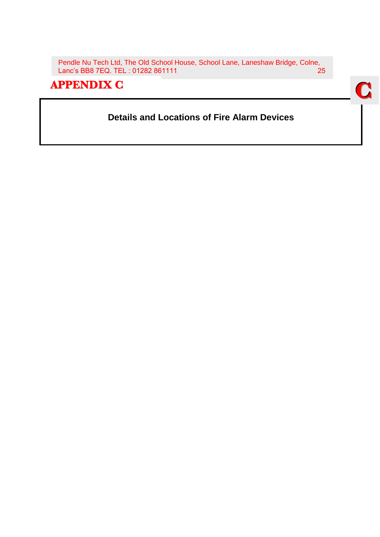Pendle Nu Tech Ltd, The Old School House, School Lane, Laneshaw Bridge, Colne, Lanc's BB8 7EQ. TEL: 01282 861111

#### **APPENDIX C**

#### **Details and Locations of Fire Alarm Devices**

**C**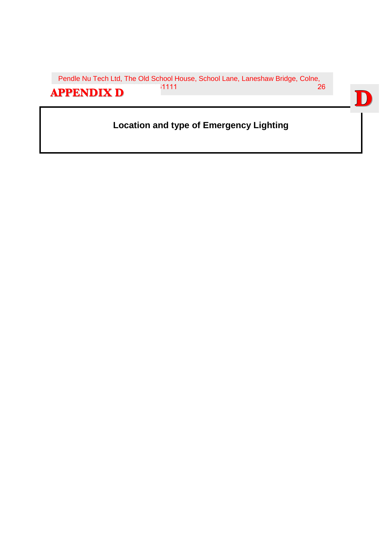Pendle Nu Tech Ltd, The Old School House, School Lane, Laneshaw Bridge, Colne, **APPENDIX D** <sup>11111</sup> 26

## **Location and type of Emergency Lighting**

**D**